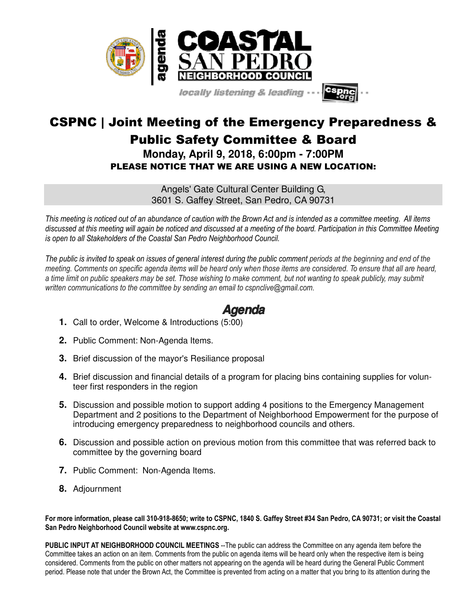

locally listening & leading

## CSPNC | Joint Meeting of the Emergency Preparedness & Public Safety Committee & Board **Monday, April 9, 2018, 6:00pm - 7:00PM**  PLEASE NOTICE THAT WE ARE USING A NEW LOCATION:

Angels' Gate Cultural Center Building G, 3601 S. Gaffey Street, San Pedro, CA 90731

*This meeting is noticed out of an abundance of caution with the Brown Act and is intended as a committee meeting. All items discussed at this meeting will again be noticed and discussed at a meeting of the board. Participation in this Committee Meeting is open to all Stakeholders of the Coastal San Pedro Neighborhood Council.*

*The public is invited to speak on issues of general interest during the public comment periods at the beginning and end of the meeting. Comments on specific agenda items will be heard only when those items are considered. To ensure that all are heard,*  a time limit on public speakers may be set. Those wishing to make comment, but not wanting to speak publicly, may submit *written communications to the committee by sending an email to cspnclive@gmail.com.*

## **Agenda**

- **1.** Call to order, Welcome & Introductions (5:00)
- **2.** Public Comment: Non-Agenda Items.
- **3.** Brief discussion of the mayor's Resiliance proposal
- **4.** Brief discussion and financial details of a program for placing bins containing supplies for volunteer first responders in the region
- **5.** Discussion and possible motion to support adding 4 positions to the Emergency Management Department and 2 positions to the Department of Neighborhood Empowerment for the purpose of introducing emergency preparedness to neighborhood councils and others.
- **6.** Discussion and possible action on previous motion from this committee that was referred back to committee by the governing board
- **7.** Public Comment: Non-Agenda Items.
- **8.** Adjournment

**For more information, please call 310-918-8650; write to CSPNC, 1840 S. Gaffey Street #34 San Pedro, CA 90731; or visit the Coastal San Pedro Neighborhood Council website at www.cspnc.org.** 

**PUBLIC INPUT AT NEIGHBORHOOD COUNCIL MEETINGS** --The public can address the Committee on any agenda item before the Committee takes an action on an item. Comments from the public on agenda items will be heard only when the respective item is being considered. Comments from the public on other matters not appearing on the agenda will be heard during the General Public Comment period. Please note that under the Brown Act, the Committee is prevented from acting on a matter that you bring to its attention during the